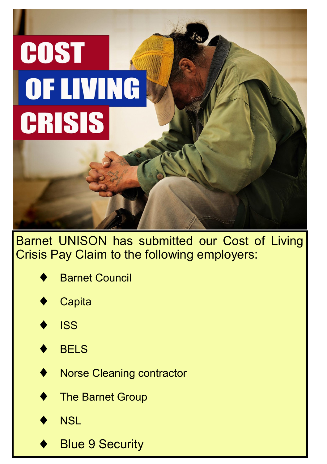# **COST** OF LIVING **CRISIS**

Barnet UNISON has submitted our Cost of Living Crisis Pay Claim to the following employers:

| <b>Barnet Council</b> |
|-----------------------|
|                       |

**Capita** 





Norse Cleaning contractor

The Barnet Group

**NSL** 

Blue 9 Security